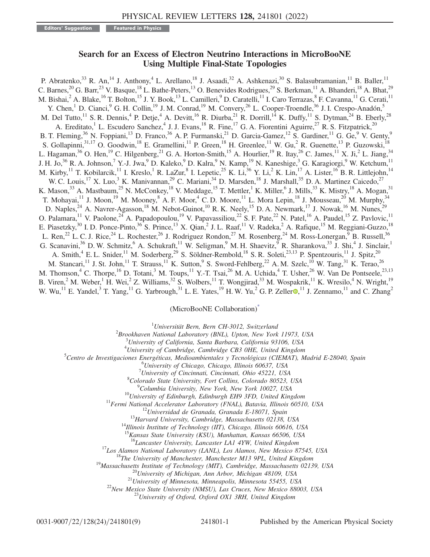Editors' Suggestion **Featured in Physics** 

## Search for an Excess of Electron Neutrino Interactions in MicroBooNE Using Multiple Final-State Topologies

P. Abratenko,<sup>33</sup> R. An,<sup>14</sup> J. Anthony,<sup>4</sup> L. Arellano,<sup>18</sup> J. Asaadi,<sup>32</sup> A. Ashkenazi,<sup>30</sup> S. Balasubramanian,<sup>11</sup> B. Baller,<sup>11</sup> C. Barnes,<sup>20</sup> G. Barr,<sup>23</sup> V. Basque,<sup>18</sup> L. Bathe-Peters,<sup>13</sup> O. Benevides Rodrigues,<sup>29</sup> S. Berkman,<sup>11</sup> A. Bhanderi,<sup>18</sup> A. Bhat,<sup>29</sup> M. Bishai,<sup>2</sup> A. Blake,<sup>16</sup> T. Bolton,<sup>15</sup> J. Y. Book,<sup>13</sup> L. Camilleri,<sup>9</sup> D. Caratelli,<sup>11</sup> I. Caro Terrazas,<sup>8</sup> F. Cavanna,<sup>11</sup> G. Cerati,<sup>11</sup> Y. Chen,<sup>1</sup> D. Cianci,<sup>9</sup> G. H. Collin,<sup>19</sup> J. M. Conrad,<sup>19</sup> M. Convery,<sup>26</sup> L. Cooper-Troendle,<sup>36</sup> J. I. Crespo-Anadón,<sup>5</sup> M. Del Tutto, <sup>11</sup> S. R. Dennis, <sup>4</sup> P. Detje, <sup>4</sup> A. Devitt, <sup>16</sup> R. Diurba, <sup>21</sup> R. Dorrill, <sup>14</sup> K. Duffy, <sup>11</sup> S. Dytman, <sup>24</sup> B. Eberly, <sup>28</sup> A. Ereditato,<sup>1</sup> L. Escudero Sanchez,<sup>4</sup> J. J. Evans,<sup>18</sup> R. Fine,<sup>17</sup> G. A. Fiorentini Aguirre,<sup>27</sup> R. S. Fitzpatrick,<sup>20</sup> B. T. Fleming,  $36$  N. Foppiani,  $13$  D. Franco,  $36$  A. P. Furmanski,  $21$  D. Garcia-Gamez,  $12$  S. Gardiner,  $11$  G. Ge,  $9$  V. Genty,  $9$ S. Gollapinni,  $31,17$  O. Goodwin,  $18$  E. Gramellini,  $11$  P. Green,  $18$  H. Greenlee,  $11$  W. Gu,  $2$  R. Guenette,  $13$  P. Guzowski,  $18$ L. Hagaman,<sup>36</sup> O. Hen,<sup>19</sup> C. Hilgenberg,<sup>21</sup> G. A. Horton-Smith,<sup>15</sup> A. Hourlier,<sup>19</sup> R. Itay,<sup>26</sup> C. James,<sup>11</sup> X. Ji,<sup>2</sup> L. Jiang,<sup>34</sup> J. H. Jo,<sup>36</sup> R. A. Johnson,<sup>7</sup> Y.-J. Jwa,<sup>9</sup> D. Kaleko,<sup>9</sup> D. Kalra,<sup>9</sup> N. Kamp,<sup>19</sup> N. Kaneshige,<sup>3</sup> G. Karagiorgi,<sup>9</sup> W. Ketchum,<sup>11</sup> M. Kirby,<sup>11</sup> T. Kobilarcik,<sup>11</sup> I. Kreslo,<sup>1</sup> R. LaZur,<sup>8</sup> I. Lepetic,<sup>25</sup> K. Li,<sup>36</sup> Y. Li,<sup>2</sup> K. Lin,<sup>17</sup> A. Lister,<sup>16</sup> B. R. Littlejohn,<sup>14</sup> W. C. Louis,<sup>17</sup> X. Luo,<sup>3</sup> K. Manivannan,<sup>29</sup> C. Mariani,<sup>34</sup> D. Marsden,<sup>18</sup> J. Marshall,<sup>35</sup> D. A. Martinez Caicedo,<sup>27</sup> K. Mason,<sup>33</sup> A. Mastbaum,<sup>25</sup> N. McConkey,<sup>18</sup> V. Meddage,<sup>15</sup> T. Mettler,<sup>1</sup> K. Miller,<sup>6</sup> J. Mills,<sup>33</sup> K. Mistry,<sup>18</sup> A. Mogan,<sup>31</sup> T. Mohayai,<sup>11</sup> J. Moon,<sup>19</sup> M. Mooney,<sup>8</sup> A. F. Moor,<sup>4</sup> C. D. Moore,<sup>11</sup> L. Mora Lepin,<sup>18</sup> J. Mousseau,<sup>20</sup> M. Murphy,<sup>34</sup> D. Naples,<sup>24</sup> A. Navrer-Agasson,<sup>18</sup> M. Nebot-Guinot,<sup>10</sup> R. K. Neely,<sup>15</sup> D. A. Newmark,<sup>17</sup> J. Nowak,<sup>16</sup> M. Nunes,<sup>29</sup> O. Palamara,<sup>11</sup> V. Paolone,<sup>24</sup> A. Papadopoulou,<sup>19</sup> V. Papavassiliou,<sup>22</sup> S. F. Pate,<sup>22</sup> N. Patel,<sup>16</sup> A. Paudel,<sup>15</sup> Z. Pavlovic,<sup>11</sup> E. Piasetzky,<sup>30</sup> I. D. Ponce-Pinto,<sup>36</sup> S. Prince,<sup>13</sup> X. Qian,<sup>2</sup> J. L. Raaf,<sup>11</sup> V. Radeka,<sup>2</sup> A. Rafique,<sup>15</sup> M. Reggiani-Guzzo,<sup>18</sup> L. Ren,<sup>22</sup> L. C. J. Rice,<sup>24</sup> L. Rochester,<sup>26</sup> J. Rodriguez Rondon,<sup>27</sup> M. Rosenberg,<sup>24</sup> M. Ross-Lonergan,<sup>9</sup> B. Russell,<sup>36</sup> G. Scanavini,<sup>36</sup> D. W. Schmitz,<sup>6</sup> A. Schukraft,<sup>11</sup> W. Seligman,<sup>9</sup> M. H. Shaevitz,<sup>9</sup> R. Sharankova,<sup>33</sup> J. Shi,<sup>4</sup> J. Sinclair,<sup>1</sup> A. Smith,<sup>4</sup> E. L. Snider,<sup>11</sup> M. Soderberg,<sup>29</sup> S. Söldner-Rembold,<sup>18</sup> S. R. Soleti,<sup>23,13</sup> P. Spentzouris,<sup>11</sup> J. Spitz,<sup>20</sup> M. Stancari,<sup>11</sup> J. St. John,<sup>11</sup> T. Strauss,<sup>11</sup> K. Sutton,<sup>9</sup> S. Sword-Fehlberg,<sup>22</sup> A. M. Szelc,<sup>10</sup> W. Tang,<sup>31</sup> K. Terao,<sup>26</sup> M. Thomson,<sup>4</sup> C. Thorpe,<sup>16</sup> D. Totani,<sup>3</sup> M. Toups,<sup>11</sup> Y.-T. Tsai,<sup>26</sup> M. A. Uchida,<sup>4</sup> T. Usher,<sup>26</sup> W. Van De Pontseele,<sup>23,13</sup> B. Viren,<sup>2</sup> M. Weber,<sup>1</sup> H. Wei,<sup>2</sup> Z. Williams,<sup>32</sup> S. Wolbers,<sup>11</sup> T. Wongjirad,<sup>33</sup> M. Wospakrik,<sup>11</sup> K. Wresilo,<sup>4</sup> N. Wright,<sup>19</sup> W. Wu,<sup>11</sup> E. Yandel,<sup>3</sup> T. Yang,<sup>11</sup> G. Yarbrough,<sup>31</sup> L. E. Yates,<sup>19</sup> H. W. Yu,<sup>2</sup> G. P. Zeller  $\bullet$ ,<sup>11</sup> J. Zennamo,<sup>11</sup> and C. Zhang<sup>2</sup>

(MicroBooNE Collaboration)[\\*](#page-7-0)

<sup>1</sup>Universität Bern, Bern CH-3012, Switzerland  $^{1}$ Universität Bern, Bern CH-3012, Switzerland<br> $^{2}$ Breekkavan Mational Laboratory (BML), Unter May Vork

Brookhaven National Laboratory (BNL), Upton, New York 11973, USA<br><sup>3</sup>University of California, Santa Barbara, California 03106, USA

 $3$ University of California, Santa Barbara, California 93106, USA

<span id="page-0-0"></span><sup>4</sup>University of Cambridge, Cambridge CB3 OHE, United Kingdom<br><sup>5</sup>Cantro de Investigaciones Energétiese Medicambiontales y Teorológicas (CIEMAT), N

 ${}^{5}$ Centro de Investigaciones Energéticas, Medioambientales y Tecnológicas (CIEMAT), Madrid E-28040, Spain

 $^6$ University of Chicago, Chicago, Illinois 60637, USA

University of Cincinnati, Cincinnati, Ohio 45221, USA

 ${}^{8}$ Colorado State University, Fort Collins, Colorado 80523, USA<br> ${}^{9}$ Columbia University, New York, New York 10027, USA

<sup>10</sup>University of Edinburgh, Edinburgh EH9 3FD, United Kingdom<br><sup>11</sup>Fermi National Accelerator Laboratory (FNAL), Batavia, Illinois 60510, USA<br><sup>12</sup>Universidad de Granada, Granada E-18071, Spain<br><sup>13</sup>Harvard University, Camb

<sup>15</sup>Kansas State University (KSU), Manhattan, Kansas 66506, USA

<sup>16</sup>Lancaster University, Lancaster LA1 4YW, United Kingdom<br><sup>17</sup>Los Alamos National Laboratory (LANL), Los Alamos, New Mexico 87545, USA<br><sup>18</sup>The University of Manchester, Manchester M13 9PL, United Kingdom<br><sup>19</sup>Massachuset

0031-9007/22/128(24)/241801(9) 241801-1 Published by the American Physical Society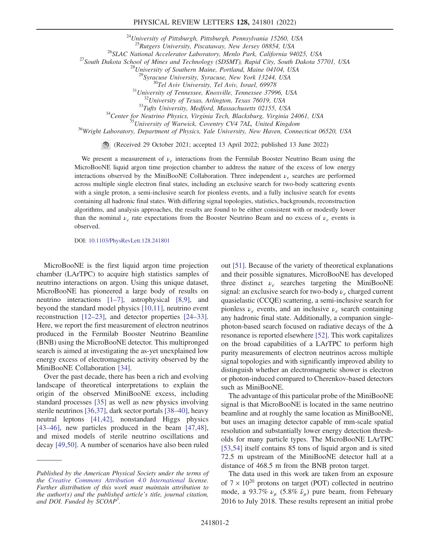## PHYSICAL REVIEW LETTERS 128, 241801 (2022)

<sup>24</sup>University of Pittsburgh, Pittsburgh, Pennsylvania 15260, USA<br><sup>25</sup>Rutgers University, Piscataway, New Jersey 08854, USA

<sup>26</sup>SLAC National Accelerator Laboratory, Menlo Park, California 94025, USA<br><sup>27</sup>South Dakota School of Mines and Technology (SDSMT), Rapid City, South Dakota 57701, USA<br><sup>28</sup>University of Southern Maine, Portland, Maine 04

<sup>30</sup>Tel Aviv University, Tel Aviv, Israel, 69978<br><sup>31</sup>University of Tennessee, Knoxville, Tennessee 37996, USA<br><sup>32</sup>University of Texas, Arlington, Texas 76019, USA<br><sup>33</sup>Tufts University, Medford, Massachusetts 02155, USA<br><sup>3</sup>

(Received 29 October 2021; accepted 13 April 2022; published 13 June 2022)

We present a measurement of  $\nu_e$  interactions from the Fermilab Booster Neutrino Beam using the MicroBooNE liquid argon time projection chamber to address the nature of the excess of low energy interactions observed by the MiniBooNE Collaboration. Three independent  $\nu_e$  searches are performed across multiple single electron final states, including an exclusive search for two-body scattering events with a single proton, a semi-inclusive search for pionless events, and a fully inclusive search for events containing all hadronic final states. With differing signal topologies, statistics, backgrounds, reconstruction algorithms, and analysis approaches, the results are found to be either consistent with or modestly lower than the nominal  $\nu_e$  rate expectations from the Booster Neutrino Beam and no excess of  $\nu_e$  events is observed.

DOI: [10.1103/PhysRevLett.128.241801](https://doi.org/10.1103/PhysRevLett.128.241801)

MicroBooNE is the first liquid argon time projection chamber (LArTPC) to acquire high statistics samples of neutrino interactions on argon. Using this unique dataset, MicroBooNE has pioneered a large body of results on neutrino interactions [\[1](#page-7-1)–[7\]](#page-7-2), astrophysical [[8](#page-7-3),[9](#page-7-4)], and beyond the standard model physics [\[10,](#page-7-5)[11\]](#page-7-6), neutrino event reconstruction [[12](#page-7-7)–[23\]](#page-7-8), and detector properties [[24](#page-7-9)–[33](#page-8-0)]. Here, we report the first measurement of electron neutrinos produced in the Fermilab Booster Neutrino Beamline (BNB) using the MicroBooNE detector. This multipronged search is aimed at investigating the as-yet unexplained low energy excess of electromagnetic activity observed by the MiniBooNE Collaboration [\[34\]](#page-8-1).

Over the past decade, there has been a rich and evolving landscape of theoretical interpretations to explain the origin of the observed MiniBooNE excess, including standard processes [[35](#page-8-2)] as well as new physics involving sterile neutrinos [[36](#page-8-3)[,37\]](#page-8-4), dark sector portals [[38](#page-8-5)–[40\]](#page-8-6), heavy neutral leptons [[41](#page-8-7),[42](#page-8-8)], nonstandard Higgs physics [\[43](#page-8-9)–[46\]](#page-8-10), new particles produced in the beam [\[47,](#page-8-11)[48](#page-8-12)], and mixed models of sterile neutrino oscillations and decay [\[49](#page-8-13)[,50\]](#page-8-14). A number of scenarios have also been ruled out [[51](#page-8-15)]. Because of the variety of theoretical explanations and their possible signatures, MicroBooNE has developed three distinct  $\nu_e$  searches targeting the MiniBooNE signal: an exclusive search for two-body  $\nu_e$  charged current quasielastic (CCQE) scattering, a semi-inclusive search for pionless  $\nu_e$  events, and an inclusive  $\nu_e$  search containing any hadronic final state. Additionally, a companion singlephoton-based search focused on radiative decays of the  $\Delta$ resonance is reported elsewhere [[52](#page-8-16)]. This work capitalizes on the broad capabilities of a LArTPC to perform high purity measurements of electron neutrinos across multiple signal topologies and with significantly improved ability to distinguish whether an electromagnetic shower is electron or photon-induced compared to Cherenkov-based detectors such as MiniBooNE.

The advantage of this particular probe of the MiniBooNE signal is that MicroBooNE is located in the same neutrino beamline and at roughly the same location as MiniBooNE, but uses an imaging detector capable of mm-scale spatial resolution and substantially lower energy detection thresholds for many particle types. The MicroBooNE LArTPC [\[53](#page-8-17)[,54\]](#page-8-18) itself contains 85 tons of liquid argon and is sited 72.5 m upstream of the MiniBooNE detector hall at a distance of 468.5 m from the BNB proton target.

The data used in this work are taken from an exposure of  $7 \times 10^{20}$  protons on target (POT) collected in neutrino mode, a 93.7%  $\nu_{\mu}$  (5.8%  $\bar{\nu}_{\mu}$ ) pure beam, from February 2016 to July 2018. These results represent an initial probe

Published by the American Physical Society under the terms of the [Creative Commons Attribution 4.0 International](https://creativecommons.org/licenses/by/4.0/) license. Further distribution of this work must maintain attribution to the author(s) and the published article's title, journal citation, and DOI. Funded by SCOAP<sup>3</sup>.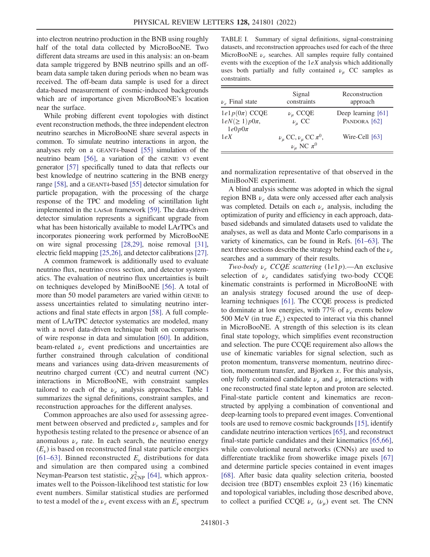into electron neutrino production in the BNB using roughly half of the total data collected by MicroBooNE. Two different data streams are used in this analysis: an on-beam data sample triggered by BNB neutrino spills and an offbeam data sample taken during periods when no beam was received. The off-beam data sample is used for a direct data-based measurement of cosmic-induced backgrounds which are of importance given MicroBooNE's location near the surface.

While probing different event topologies with distinct event reconstruction methods, the three independent electron neutrino searches in MicroBooNE share several aspects in common. To simulate neutrino interactions in argon, the analyses rely on a GEANT4-based [\[55](#page-8-19)] simulation of the neutrino beam [\[56](#page-8-20)], a variation of the GENIE V3 event generator [\[57\]](#page-8-21) specifically tuned to data that reflects our best knowledge of neutrino scattering in the BNB energy range [[58\]](#page-8-22), and a GEANT4-based [\[55](#page-8-19)] detector simulation for particle propagation, with the processing of the charge response of the TPC and modeling of scintillation light implemented in the LArSoft framework [[59\]](#page-8-23). The data-driven detector simulation represents a significant upgrade from what has been historically available to model LArTPCs and incorporates pioneering work performed by MicroBooNE on wire signal processing [[28](#page-7-10),[29\]](#page-7-11), noise removal [[31](#page-8-24)], electric field mapping [\[25](#page-7-12)[,26\]](#page-7-13), and detector calibrations [[27](#page-7-14)].

A common framework is additionally used to evaluate neutrino flux, neutrino cross section, and detector systematics. The evaluation of neutrino flux uncertainties is built on techniques developed by MiniBooNE [\[56\]](#page-8-20). A total of more than 50 model parameters are varied within GENIE to assess uncertainties related to simulating neutrino interactions and final state effects in argon [\[58\]](#page-8-22). A full complement of LArTPC detector systematics are modeled, many with a novel data-driven technique built on comparisons of wire response in data and simulation [\[60\]](#page-8-25). In addition, beam-related  $\nu_e$  event predictions and uncertainties are further constrained through calculation of conditional means and variances using data-driven measurements of neutrino charged current (CC) and neutral current (NC) interactions in MicroBooNE, with constraint samples tailored to each of the  $\nu_e$  analysis approaches. Table [I](#page-2-0) summarizes the signal definitions, constraint samples, and reconstruction approaches for the different analyses.

Common approaches are also used for assessing agreement between observed and predicted  $\nu_e$  samples and for hypothesis testing related to the presence or absence of an anomalous  $\nu_e$  rate. In each search, the neutrino energy  $(E_{\nu})$  is based on reconstructed final state particle energies [[61](#page-8-26)–[63\]](#page-8-27). Binned reconstructed  $E<sub>v</sub>$  distributions for data and simulation are then compared using a combined Neyman-Pearson test statistic,  $\chi^2_{\text{CNP}}$  [[64](#page-8-28)], which approximates well to the Poisson-likelihood test statistic for low event numbers. Similar statistical studies are performed to test a model of the  $\nu_e$  event excess with an  $E_\nu$  spectrum

<span id="page-2-0"></span>TABLE I. Summary of signal definitions, signal-constraining datasets, and reconstruction approaches used for each of the three MicroBooNE  $\nu_e$  searches. All samples require fully contained events with the exception of the  $1eX$  analysis which additionally uses both partially and fully contained  $\nu_{\mu}$  CC samples as constraints.

| $\nu_e$ Final state                                     | Signal<br>constraints                                            | Reconstruction<br>approach         |
|---------------------------------------------------------|------------------------------------------------------------------|------------------------------------|
| $1e1p(0\pi)$ CCQE<br>$1eN(\geq 1)p0\pi$ ,<br>$1e0p0\pi$ | $\nu_{\mu}$ CCQE<br>$\nu_{\mu}$ CC                               | Deep learning [61]<br>PANDORA [62] |
| 1eX                                                     | $\nu_{\mu}$ CC, $\nu_{\mu}$ CC $\pi^0$ ,<br>$\nu_\mu$ NC $\pi^0$ | Wire-Cell [63]                     |

and normalization representative of that observed in the MiniBooNE experiment.

A blind analysis scheme was adopted in which the signal region BNB  $\nu_e$  data were only accessed after each analysis was completed. Details on each  $\nu_e$  analysis, including the optimization of purity and efficiency in each approach, databased sidebands and simulated datasets used to validate the analyses, as well as data and Monte Carlo comparisons in a variety of kinematics, can be found in Refs. [[61](#page-8-26)–[63](#page-8-27)]. The next three sections describe the strategy behind each of the  $\nu_e$ searches and a summary of their results.

Two-body  $v_e$  CCQE scattering (1e1p).—An exclusive selection of  $\nu_e$  candidates satisfying two-body CCQE kinematic constraints is performed in MicroBooNE with an analysis strategy focused around the use of deeplearning techniques [\[61\]](#page-8-26). The CCQE process is predicted to dominate at low energies, with 77% of  $\nu_e$  events below 500 MeV (in true  $E_{\nu}$ ) expected to interact via this channel in MicroBooNE. A strength of this selection is its clean final state topology, which simplifies event reconstruction and selection. The pure CCQE requirement also allows the use of kinematic variables for signal selection, such as proton momentum, transverse momentum, neutrino direction, momentum transfer, and Bjorken x. For this analysis, only fully contained candidate  $\nu_e$  and  $\nu_u$  interactions with one reconstructed final state lepton and proton are selected. Final-state particle content and kinematics are reconstructed by applying a combination of conventional and deep-learning tools to prepared event images. Conventional tools are used to remove cosmic backgrounds [[15](#page-7-15)], identify candidate neutrino interaction vertices [[65](#page-8-29)], and reconstruct final-state particle candidates and their kinematics [\[65,](#page-8-29)[66](#page-8-30)], while convolutional neural networks (CNNs) are used to differentiate tracklike from showerlike image pixels [\[67\]](#page-8-31) and determine particle species contained in event images [\[68\]](#page-8-32). After basic data quality selection criteria, boosted decision tree (BDT) ensembles exploit 23 (16) kinematic and topological variables, including those described above, to collect a purified CCQE  $\nu_e$  ( $\nu_\mu$ ) event set. The CNN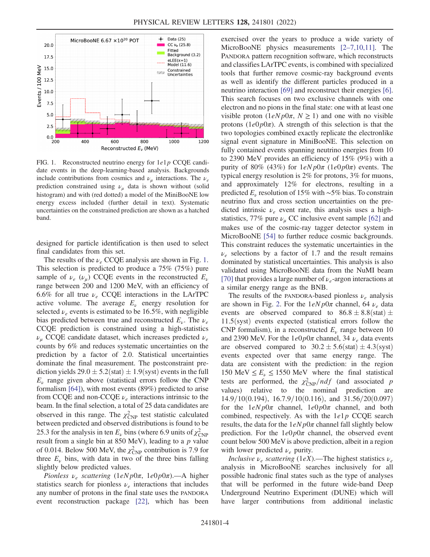<span id="page-3-0"></span>

FIG. 1. Reconstructed neutrino energy for  $1e1p$  CCQE candidate events in the deep-learning-based analysis. Backgrounds include contributions from cosmics and  $\nu_{\mu}$  interactions. The  $\nu_e$ prediction constrained using  $\nu_{\mu}$  data is shown without (solid histogram) and with (red dotted) a model of the MiniBooNE low energy excess included (further detail in text). Systematic uncertainties on the constrained prediction are shown as a hatched band.

designed for particle identification is then used to select final candidates from this set.

The results of the  $\nu_e$  CCQE analysis are shown in Fig. [1](#page-3-0). This selection is predicted to produce a 75% (75%) pure sample of  $\nu_e$  ( $\nu_\mu$ ) CCQE events in the reconstructed  $E_\nu$ range between 200 and 1200 MeV, with an efficiency of 6.6% for all true  $\nu_e$  CCQE interactions in the LArTPC active volume. The average  $E<sub>\nu</sub>$  energy resolution for selected  $\nu_e$  events is estimated to be 16.5%, with negligible bias predicted between true and reconstructed  $E_{\nu}$ . The  $\nu_e$ CCQE prediction is constrained using a high-statistics  $\nu_{\mu}$  CCQE candidate dataset, which increases predicted  $\nu_{e}$ counts by 6% and reduces systematic uncertainties on the prediction by a factor of 2.0. Statistical uncertainties dominate the final measurement. The postconstraint prediction yields  $29.0 \pm 5.2$ (stat)  $\pm 1.9$ (syst) events in the full  $E_{\nu}$  range given above (statistical errors follow the CNP formalism [[64](#page-8-28)]), with most events (89%) predicted to arise from CCQE and non-CCQE  $\nu_e$  interactions intrinsic to the beam. In the final selection, a total of 25 data candidates are observed in this range. The  $\chi^2_{\text{CNP}}$  test statistic calculated between predicted and observed distributions is found to be 25.3 for the analysis in ten  $E_{\nu}$  bins (where 6.9 units of  $\chi^2_{\text{CNP}}$ result from a single bin at 850 MeV), leading to a  $p$  value of 0.014. Below 500 MeV, the  $\chi^2_{\text{CNP}}$  contribution is 7.9 for three  $E_{\nu}$  bins, with data in two of the three bins falling slightly below predicted values.

Pionless  $\nu_e$  scattering  $(1eNp0\pi, 1e0p0\pi)$ . - A higher statistics search for pionless  $\nu_e$  interactions that includes any number of protons in the final state uses the PANDORA event reconstruction package [\[22\]](#page-7-16), which has been exercised over the years to produce a wide variety of MicroBooNE physics measurements [\[2](#page-7-17)–[7](#page-7-2),[10](#page-7-5),[11](#page-7-6)]. The PANDORA pattern recognition software, which reconstructs and classifies LArTPC events, is combined with specialized tools that further remove cosmic-ray background events as well as identify the different particles produced in a neutrino interaction [[69](#page-8-34)] and reconstruct their energies [[6](#page-7-18)]. This search focuses on two exclusive channels with one electron and no pions in the final state: one with at least one visible proton  $(1eNp0\pi, N \ge 1)$  and one with no visible protons  $(1e0p0\pi)$ . A strength of this selection is that the two topologies combined exactly replicate the electronlike signal event signature in MiniBooNE. This selection on fully contained events spanning neutrino energies from 10 to 2390 MeV provides an efficiency of 15% (9%) with a purity of 80% (43%) for  $1eNp0\pi$  (1e0p0 $\pi$ ) events. The typical energy resolution is 2% for protons, 3% for muons, and approximately 12% for electrons, resulting in a predicted  $E_\nu$  resolution of 15% with ~5% bias. To constrain neutrino flux and cross section uncertainties on the predicted intrinsic  $\nu_e$  event rate, this analysis uses a highstatistics, 77% pure  $\nu_{\mu}$  CC inclusive event sample [\[62\]](#page-8-33) and makes use of the cosmic-ray tagger detector system in MicroBooNE [[54](#page-8-18)] to further reduce cosmic backgrounds. This constraint reduces the systematic uncertainties in the  $\nu_e$  selections by a factor of 1.7 and the result remains dominated by statistical uncertainties. This analysis is also validated using MicroBooNE data from the NuMI beam [\[70\]](#page-8-35) that provides a large number of  $\nu_e$ -argon interactions at a similar energy range as the BNB.

The results of the PANDORA-based pionless  $\nu_e$  analysis are shown in Fig. [2](#page-4-0). For the  $1eNp0\pi$  channel, 64  $\nu_e$  data events are observed compared to  $86.8 \pm 8.8$ (stat)  $\pm$  $11.5$ (syst) events expected (statistical errors follow the CNP formalism), in a reconstructed  $E<sub>\nu</sub>$  range between 10 and 2390 MeV. For the  $1e0p0\pi$  channel, 34  $\nu_e$  data events are observed compared to  $30.2 \pm 5.6$  (stat)  $\pm 4.3$  (syst) events expected over that same energy range. The data are consistent with the prediction: in the region 150 MeV  $\le E_\nu \le 1550$  MeV where the final statistical tests are performed, the  $\chi_{\text{CNP}}^2/ndf$  (and associated p values) relative to the nominal prediction are  $14.9/10(0.194)$ ,  $16.7.9/10(0.116)$ , and  $31.56/20(0.097)$ for the  $1eNp0\pi$  channel,  $1e0p0\pi$  channel, and both combined, respectively. As with the  $1e1p$  CCQE search results, the data for the  $1eNp0\pi$  channel fall slightly below prediction. For the  $1e0p0\pi$  channel, the observed event count below 500 MeV is above prediction, albeit in a region with lower predicted  $\nu_e$  purity.

*Inclusive*  $\nu_e$  *scattering* (1*eX*).—The highest statistics  $\nu_e$ analysis in MicroBooNE searches inclusively for all possible hadronic final states such as the type of analyses that will be performed in the future wide-band Deep Underground Neutrino Experiment (DUNE) which will have larger contributions from additional inelastic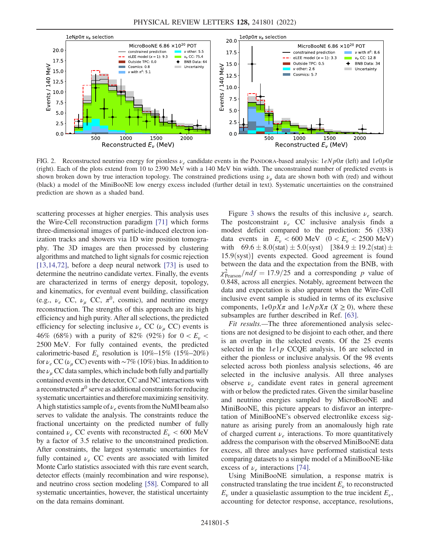<span id="page-4-0"></span>

FIG. 2. Reconstructed neutrino energy for pionless  $\nu_e$  candidate events in the PANDORA-based analysis:  $1eNp0\pi$  (left) and  $1e0p0\pi$ (right). Each of the plots extend from 10 to 2390 MeV with a 140 MeV bin width. The unconstrained number of predicted events is shown broken down by true interaction topology. The constrained predictions using  $\nu_{\mu}$  data are shown both with (red) and without (black) a model of the MiniBooNE low energy excess included (further detail in text). Systematic uncertainties on the constrained prediction are shown as a shaded band.

scattering processes at higher energies. This analysis uses the Wire-Cell reconstruction paradigm [[71](#page-8-36)] which forms three-dimensional images of particle-induced electron ionization tracks and showers via 1D wire position tomography. The 3D images are then processed by clustering algorithms and matched to light signals for cosmic rejection [\[13](#page-7-19)[,14](#page-7-20),[72](#page-8-37)], before a deep neural network [[73](#page-8-38)] is used to determine the neutrino candidate vertex. Finally, the events are characterized in terms of energy deposit, topology, and kinematics, for eventual event building, classification (e.g.,  $\nu_e$  CC,  $\nu_\mu$  CC,  $\pi^0$ , cosmic), and neutrino energy reconstruction. The strengths of this approach are its high efficiency and high purity. After all selections, the predicted efficiency for selecting inclusive  $\nu_e$  CC ( $\nu_\mu$  CC) events is 46% (68%) with a purity of 82% (92%) for  $0 < E_{\nu} <$ 2500 MeV. For fully contained events, the predicted calorimetric-based  $E_{\nu}$  resolution is 10%–15% (15%–20%) for  $\nu_e$  CC ( $\nu_\mu$  CC) events with ~7% (10%) bias. In addition to the  $\nu_{\mu}$  CC data samples, which include both fully and partially contained events in the detector, CC and NC interactions with a reconstructed  $\pi^0$  serve as additional constraints for reducing systematic uncertainties and therefore maximizing sensitivity. A high statistics sample of  $\nu_e$  events from the NuMI beam also serves to validate the analysis. The constraints reduce the fractional uncertainty on the predicted number of fully contained  $\nu_e$  CC events with reconstructed  $E_\nu$  < 600 MeV by a factor of 3.5 relative to the unconstrained prediction. After constraints, the largest systematic uncertainties for fully contained  $\nu_e$  CC events are associated with limited Monte Carlo statistics associated with this rare event search, detector effects (mainly recombination and wire response), and neutrino cross section modeling [[58\]](#page-8-22). Compared to all systematic uncertainties, however, the statistical uncertainty on the data remains dominant.

Figure [3](#page-5-0) shows the results of this inclusive  $\nu_e$  search. The postconstraint  $\nu_e$  CC inclusive analysis finds a modest deficit compared to the prediction: 56 (338) data events in  $E_v < 600$  MeV  $(0 < E_v < 2500$  MeV) with  $69.6 \pm 8.0$ (stat)  $\pm 5.0$ (syst) [384.9  $\pm 19.2$ (stat)  $\pm 16.2$  $15.9$ (syst)] events expected. Good agreement is found between the data and the expectation from the BNB, with  $\chi^2_{\text{Pearson}}/ndf = 17.9/25$  and a corresponding p value of 0.848, across all energies. Notably, agreement between the data and expectation is also apparent when the Wire-Cell inclusive event sample is studied in terms of its exclusive components,  $1e^{0}pX\pi$  and  $1e^{N}pX\pi$  ( $X \ge 0$ ), where these subsamples are further described in Ref. [\[63\]](#page-8-27).

Fit results.—The three aforementioned analysis selections are not designed to be disjoint to each other, and there is an overlap in the selected events. Of the 25 events selected in the  $1e1p$  CCQE analysis, 16 are selected in either the pionless or inclusive analysis. Of the 98 events selected across both pionless analysis selections, 46 are selected in the inclusive analysis. All three analyses observe  $\nu_e$  candidate event rates in general agreement with or below the predicted rates. Given the similar baseline and neutrino energies sampled by MicroBooNE and MiniBooNE, this picture appears to disfavor an interpretation of MiniBooNE's observed electronlike excess signature as arising purely from an anomalously high rate of charged current  $\nu_e$  interactions. To more quantitatively address the comparison with the observed MiniBooNE data excess, all three analyses have performed statistical tests comparing datasets to a simple model of a MiniBooNE-like excess of  $\nu_e$  interactions [[74](#page-8-39)].

Using MiniBooNE simulation, a response matrix is constructed translating the true incident  $E_{\nu}$  to reconstructed  $E_{\nu}$  under a quasielastic assumption to the true incident  $E_{\nu}$ , accounting for detector response, acceptance, resolutions,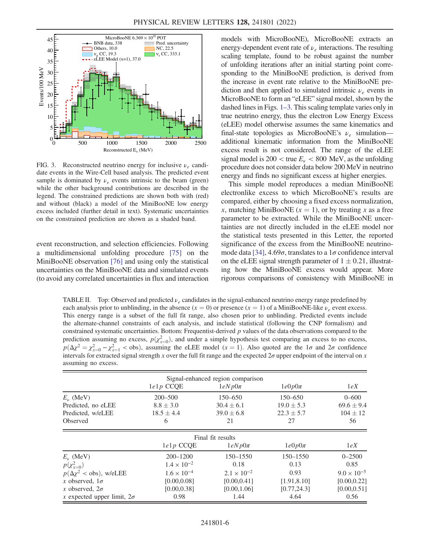<span id="page-5-0"></span>

FIG. 3. Reconstructed neutrino energy for inclusive  $\nu_e$  candidate events in the Wire-Cell based analysis. The predicted event sample is dominated by  $\nu_e$  events intrinsic to the beam (green) while the other background contributions are described in the legend. The constrained predictions are shown both with (red) and without (black) a model of the MiniBooNE low energy excess included (further detail in text). Systematic uncertainties on the constrained prediction are shown as a shaded band.

event reconstruction, and selection efficiencies. Following a multidimensional unfolding procedure [[75](#page-8-40)] on the MiniBooNE observation [[76](#page-8-41)] and using only the statistical uncertainties on the MiniBooNE data and simulated events (to avoid any correlated uncertainties in flux and interaction models with MicroBooNE), MicroBooNE extracts an energy-dependent event rate of  $\nu_e$  interactions. The resulting scaling template, found to be robust against the number of unfolding iterations after an initial starting point corresponding to the MiniBooNE prediction, is derived from the increase in event rate relative to the MiniBooNE prediction and then applied to simulated intrinsic  $\nu_e$  events in MicroBooNE to form an "eLEE" signal model, shown by the dashed lines in Figs. 1[–](#page-3-0)3. This scaling template varies only in true neutrino energy, thus the electron Low Energy Excess (eLEE) model otherwise assumes the same kinematics and final-state topologies as MicroBooNE's  $\nu_e$  simulation additional kinematic information from the MiniBooNE excess result is not considered. The range of the eLEE signal model is 200  $\lt$  true  $E_v \lt 800$  MeV, as the unfolding procedure does not consider data below 200 MeV in neutrino energy and finds no significant excess at higher energies.

This simple model reproduces a median MiniBooNE electronlike excess to which MicroBooNE's results are compared, either by choosing a fixed excess normalization, x, matching MiniBooNE  $(x = 1)$ , or by treating x as a free parameter to be extracted. While the MiniBooNE uncertainties are not directly included in the eLEE model nor the statistical tests presented in this Letter, the reported significance of the excess from the MiniBooNE neutrino-mode data [\[34](#page-8-1)],  $4.69\sigma$ , translates to a  $1\sigma$  confidence interval on the eLEE signal strength parameter of  $1 \pm 0.21$ , illustrating how the MiniBooNE excess would appear. More rigorous comparisons of consistency with MiniBooNE in

<span id="page-5-1"></span>TABLE II. Top: Observed and predicted  $\nu_e$  candidates in the signal-enhanced neutrino energy range predefined by each analysis prior to unblinding, in the absence  $(x = 0)$  or presence  $(x = 1)$  of a MiniBooNE-like  $\nu_e$  event excess. This energy range is a subset of the full fit range, also chosen prior to unblinding. Predicted events include the alternate-channel constraints of each analysis, and include statistical (following the CNP formalism) and constrained systematic uncertainties. Bottom: Frequentist-derived  $p$  values of the data observations compared to the prediction assuming no excess,  $p(\chi^2_{x=0})$ , and under a simple hypothesis test comparing an excess to no excess,  $p(\Delta \chi^2 = \chi^2_{x=0} - \chi^2_{x=1} <$  obs), assuming the eLEE model (x = 1). Also quoted are the 1 $\sigma$  and 2 $\sigma$  confidence intervals for extracted signal strength x over the full fit range and the expected  $2\sigma$  upper endpoint of the interval on x assuming no excess.

| Signal-enhanced region comparison |                      |                      |                |                      |  |
|-----------------------------------|----------------------|----------------------|----------------|----------------------|--|
|                                   | $lelp$ CCQE          | $1eNp0\pi$           | $1e0p0\pi$     | 1eX                  |  |
| $E_{\nu}$ (MeV)                   | $200 - 500$          | $150 - 650$          | 150-650        | $0 - 600$            |  |
| Predicted, no eLEE                | $8.8 \pm 3.0$        | $30.4 \pm 6.1$       | $19.0 \pm 5.3$ | $69.6 \pm 9.4$       |  |
| Predicted, w/eLEE                 | $18.5 \pm 4.4$       | $39.0 \pm 6.8$       | $22.3 \pm 5.7$ | $104 \pm 12$         |  |
| Observed                          | 6                    | 21                   | 27             | 56                   |  |
|                                   |                      | Final fit results    |                |                      |  |
|                                   | $1e1p$ CCQE          | $1eNp0\pi$           | $1e0p0\pi$     | 1eX                  |  |
| $E_{\nu}$ (MeV)                   | $200 - 1200$         | 150-1550             | 150-1550       | $0 - 2500$           |  |
| $p(\chi^2_{x=0})$                 | $1.4 \times 10^{-2}$ | 0.18                 | 0.13           | 0.85                 |  |
| $p(\Delta \chi^2 <$ obs), w/eLEE  | $1.6 \times 10^{-4}$ | $2.1 \times 10^{-2}$ | 0.93           | $9.0 \times 10^{-5}$ |  |
| x observed, $1\sigma$             | [0.00, 0.08]         | [0.00, 0.41]         | [1.91, 8.10]   | [0.00, 0.22]         |  |
| <i>x</i> observed, $2\sigma$      | [0.00, 0.38]         | [0.00, 1.06]         | [0.77, 24.3]   | [0.00, 0.51]         |  |
| x expected upper limit, $2\sigma$ | 0.98                 | 1.44                 | 4.64           | 0.56                 |  |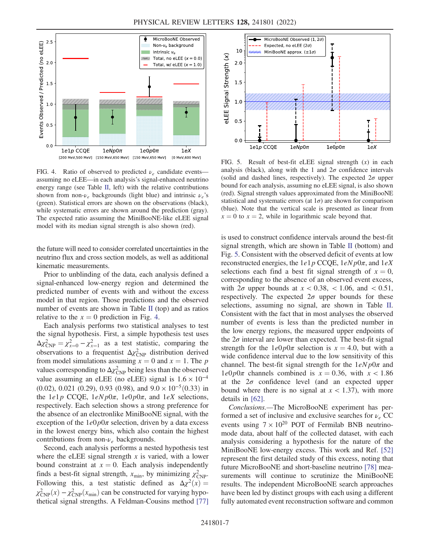<span id="page-6-0"></span>

FIG. 4. Ratio of observed to predicted  $\nu_e$  candidate events assuming no eLEE—in each analysis's signal-enhanced neutrino energy range (see Table [II](#page-5-1), left) with the relative contributions shown from non- $\nu_e$  backgrounds (light blue) and intrinsic  $\nu_e$ 's (green). Statistical errors are shown on the observations (black), while systematic errors are shown around the prediction (gray). The expected ratio assuming the MiniBooNE-like eLEE signal model with its median signal strength is also shown (red).

the future will need to consider correlated uncertainties in the neutrino flux and cross section models, as well as additional kinematic measurements.

Prior to unblinding of the data, each analysis defined a signal-enhanced low-energy region and determined the predicted number of events with and without the excess model in that region. Those predictions and the observed number of events are shown in Table [II](#page-5-1) (top) and as ratios relative to the  $x = 0$  prediction in Fig. [4](#page-6-0).

Each analysis performs two statistical analyses to test the signal hypothesis. First, a simple hypothesis test uses  $\Delta \chi^2_{\text{CNP}} = \chi^2_{x=0} - \chi^2_{x=1}$  as a test statistic, comparing the observations to a frequentist  $\Delta \chi^2_{\text{CNP}}$  distribution derived from model simulations assuming  $x = 0$  and  $x = 1$ . The p values corresponding to  $\Delta \chi^2_{\text{CNP}}$  being less than the observed value assuming an eLEE (no eLEE) signal is  $1.6 \times 10^{-4}$ (0.02), 0.021 (0.29), 0.93 (0.98), and  $9.0 \times 10^{-5}$  (0.33) in the  $1e1p$  CCQE,  $1eNp0\pi$ ,  $1e0p0\pi$ , and  $1eX$  selections, respectively. Each selection shows a strong preference for the absence of an electronlike MiniBooNE signal, with the exception of the  $1e0p0\pi$  selection, driven by a data excess in the lowest energy bins, which also contain the highest contributions from non- $\nu_e$  backgrounds.

Second, each analysis performs a nested hypothesis test where the eLEE signal strength  $x$  is varied, with a lower bound constraint at  $x = 0$ . Each analysis independently finds a best-fit signal strength,  $x_{\text{min}}$ , by minimizing  $\chi^2_{\text{CNP}}$ . Following this, a test statistic defined as  $\Delta \chi^2(x) =$  $\chi^2_{\text{CNP}}(x) - \chi^2_{\text{CNP}}(x_{\text{min}})$  can be constructed for varying hypothetical signal strengths. A Feldman-Cousins method [\[77\]](#page-8-42)

<span id="page-6-1"></span>

FIG. 5. Result of best-fit eLEE signal strength  $(x)$  in each analysis (black), along with the 1 and  $2\sigma$  confidence intervals (solid and dashed lines, respectively). The expected  $2\sigma$  upper bound for each analysis, assuming no eLEE signal, is also shown (red). Signal strength values approximated from the MiniBooNE statistical and systematic errors (at  $1\sigma$ ) are shown for comparison (blue). Note that the vertical scale is presented as linear from  $x = 0$  to  $x = 2$ , while in logarithmic scale beyond that.

is used to construct confidence intervals around the best-fit signal strength, which are shown in Table [II](#page-5-1) (bottom) and Fig. [5](#page-6-1). Consistent with the observed deficit of events at low reconstructed energies, the  $1e1p$  CCQE,  $1eNp0\pi$ , and  $1eX$ selections each find a best fit signal strength of  $x = 0$ , corresponding to the absence of an observed event excess, with  $2\sigma$  upper bounds at  $x < 0.38$ ,  $< 1.06$ , and  $< 0.51$ , respectively. The expected  $2\sigma$  upper bounds for these selections, assuming no signal, are shown in Table [II](#page-5-1). Consistent with the fact that in most analyses the observed number of events is less than the predicted number in the low energy regions, the measured upper endpoints of the  $2\sigma$  interval are lower than expected. The best-fit signal strength for the  $1e0p0\pi$  selection is  $x = 4.0$ , but with a wide confidence interval due to the low sensitivity of this channel. The best-fit signal strength for the  $1eNp0\pi$  and  $1e0p0\pi$  channels combined is  $x = 0.36$ , with  $x < 1.86$ at the  $2\sigma$  confidence level (and an expected upper bound where there is no signal at  $x < 1.37$ ), with more details in [[62](#page-8-33)].

Conclusions.—The MicroBooNE experiment has performed a set of inclusive and exclusive searches for  $\nu_e$  CC events using  $7 \times 10^{20}$  POT of Fermilab BNB neutrinomode data, about half of the collected dataset, with each analysis considering a hypothesis for the nature of the MiniBooNE low-energy excess. This work and Ref. [\[52\]](#page-8-16) represent the first detailed study of this excess, noting that future MicroBooNE and short-baseline neutrino [[78](#page-8-43)] measurements will continue to scrutinize the MiniBooNE results. The independent MicroBooNE search approaches have been led by distinct groups with each using a different fully automated event reconstruction software and common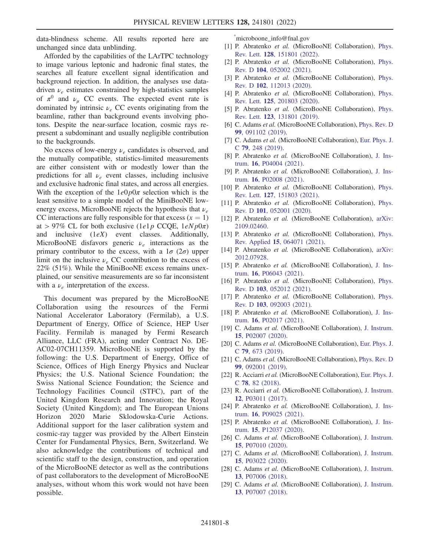data-blindness scheme. All results reported here are unchanged since data unblinding.

Afforded by the capabilities of the LArTPC technology to image various leptonic and hadronic final states, the searches all feature excellent signal identification and background rejection. In addition, the analyses use datadriven  $\nu_e$  estimates constrained by high-statistics samples of  $\pi^0$  and  $\nu_\mu$  CC events. The expected event rate is dominated by intrinsic  $\nu_e$  CC events originating from the beamline, rather than background events involving photons. Despite the near-surface location, cosmic rays represent a subdominant and usually negligible contribution to the backgrounds.

No excess of low-energy  $\nu_e$  candidates is observed, and the mutually compatible, statistics-limited measurements are either consistent with or modestly lower than the predictions for all  $\nu_e$  event classes, including inclusive and exclusive hadronic final states, and across all energies. With the exception of the  $1e0p0\pi$  selection which is the least sensitive to a simple model of the MiniBooNE lowenergy excess, MicroBooNE rejects the hypothesis that  $\nu_e$ CC interactions are fully responsible for that excess  $(x = 1)$ at > 97% CL for both exclusive (1e1p CCQE,  $1eNp0\pi$ ) and inclusive  $(1eX)$  event classes. Additionally, MicroBooNE disfavors generic  $\nu_e$  interactions as the primary contributor to the excess, with a  $1\sigma (2\sigma)$  upper limit on the inclusive  $\nu_e$  CC contribution to the excess of 22% (51%). While the MiniBooNE excess remains unexplained, our sensitive measurements are so far inconsistent with a  $\nu_e$  interpretation of the excess.

This document was prepared by the MicroBooNE Collaboration using the resources of the Fermi National Accelerator Laboratory (Fermilab), a U.S. Department of Energy, Office of Science, HEP User Facility. Fermilab is managed by Fermi Research Alliance, LLC (FRA), acting under Contract No. DE-AC02-07CH11359. MicroBooNE is supported by the following: the U.S. Department of Energy, Office of Science, Offices of High Energy Physics and Nuclear Physics; the U.S. National Science Foundation; the Swiss National Science Foundation; the Science and Technology Facilities Council (STFC), part of the United Kingdom Research and Innovation; the Royal Society (United Kingdom); and The European Unions Horizon 2020 Marie Sklodowska-Curie Actions. Additional support for the laser calibration system and cosmic-ray tagger was provided by the Albert Einstein Center for Fundamental Physics, Bern, Switzerland. We also acknowledge the contributions of technical and scientific staff to the design, construction, and operation of the MicroBooNE detector as well as the contributions of past collaborators to the development of MicroBooNE analyses, without whom this work would not have been possible.

<span id="page-7-0"></span>[\\*](#page-0-0) microboone\_info@fnal.gov

- <span id="page-7-1"></span>[1] P. Abratenko et al. (MicroBooNE Collaboration), [Phys.](https://doi.org/10.1103/PhysRevLett.128.151801) Rev. Lett. 128[, 151801 \(2022\).](https://doi.org/10.1103/PhysRevLett.128.151801)
- <span id="page-7-17"></span>[2] P. Abratenko et al. (MicroBooNE Collaboration), [Phys.](https://doi.org/10.1103/PhysRevD.104.052002) Rev. D 104[, 052002 \(2021\)](https://doi.org/10.1103/PhysRevD.104.052002).
- [3] P. Abratenko et al. (MicroBooNE Collaboration), [Phys.](https://doi.org/10.1103/PhysRevD.102.112013) Rev. D 102[, 112013 \(2020\)](https://doi.org/10.1103/PhysRevD.102.112013).
- [4] P. Abratenko et al. (MicroBooNE Collaboration), [Phys.](https://doi.org/10.1103/PhysRevLett.125.201803) Rev. Lett. 125[, 201803 \(2020\).](https://doi.org/10.1103/PhysRevLett.125.201803)
- [5] P. Abratenko et al. (MicroBooNE Collaboration), [Phys.](https://doi.org/10.1103/PhysRevLett.123.131801) Rev. Lett. 123[, 131801 \(2019\).](https://doi.org/10.1103/PhysRevLett.123.131801)
- <span id="page-7-18"></span>[6] C. Adams et al. (MicroBooNE Collaboration), [Phys. Rev. D](https://doi.org/10.1103/PhysRevD.99.091102) 99[, 091102 \(2019\).](https://doi.org/10.1103/PhysRevD.99.091102)
- <span id="page-7-2"></span>[7] C. Adams et al. (MicroBooNE Collaboration), [Eur. Phys. J.](https://doi.org/10.1140/epjc/s10052-019-6742-3) <sup>C</sup> 79[, 248 \(2019\)](https://doi.org/10.1140/epjc/s10052-019-6742-3).
- <span id="page-7-3"></span>[8] P. Abratenko et al. (MicroBooNE Collaboration), [J. Ins](https://doi.org/10.1088/1748-0221/16/04/P04004)trum. 16[, P04004 \(2021\).](https://doi.org/10.1088/1748-0221/16/04/P04004)
- <span id="page-7-4"></span>[9] P. Abratenko et al. (MicroBooNE Collaboration), [J. Ins](https://doi.org/10.1088/1748-0221/16/02/P02008)trum. 16[, P02008 \(2021\).](https://doi.org/10.1088/1748-0221/16/02/P02008)
- <span id="page-7-5"></span>[10] P. Abratenko et al. (MicroBooNE Collaboration), [Phys.](https://doi.org/10.1103/PhysRevLett.127.151803) Rev. Lett. 127[, 151803 \(2021\).](https://doi.org/10.1103/PhysRevLett.127.151803)
- <span id="page-7-6"></span>[11] P. Abratenko et al. (MicroBooNE Collaboration), [Phys.](https://doi.org/10.1103/PhysRevD.101.052001) Rev. D 101[, 052001 \(2020\)](https://doi.org/10.1103/PhysRevD.101.052001).
- <span id="page-7-7"></span>[12] P. Abratenko et al. (MicroBooNE Collaboration), [arXiv:](https://arXiv.org/abs/2109.02460) [2109.02460.](https://arXiv.org/abs/2109.02460)
- <span id="page-7-19"></span>[13] P. Abratenko et al. (MicroBooNE Collaboration), [Phys.](https://doi.org/10.1103/PhysRevApplied.15.064071) Rev. Applied <sup>15</sup>[, 064071 \(2021\).](https://doi.org/10.1103/PhysRevApplied.15.064071)
- <span id="page-7-20"></span>[14] P. Abratenko et al. (MicroBooNE Collaboration), [arXiv:](https://arXiv.org/abs/2012.07928) [2012.07928.](https://arXiv.org/abs/2012.07928)
- <span id="page-7-15"></span>[15] P. Abratenko et al. (MicroBooNE Collaboration), [J. Ins](https://doi.org/10.1088/1748-0221/16/06/P06043)trum. 16[, P06043 \(2021\).](https://doi.org/10.1088/1748-0221/16/06/P06043)
- [16] P. Abratenko et al. (MicroBooNE Collaboration), [Phys.](https://doi.org/10.1103/PhysRevD.103.052012) Rev. D 103[, 052012 \(2021\)](https://doi.org/10.1103/PhysRevD.103.052012).
- [17] P. Abratenko et al. (MicroBooNE Collaboration), [Phys.](https://doi.org/10.1103/PhysRevD.103.092003) Rev. D 103[, 092003 \(2021\)](https://doi.org/10.1103/PhysRevD.103.092003).
- [18] P. Abratenko et al. (MicroBooNE Collaboration), [J. Ins](https://doi.org/10.1088/1748-0221/16/02/P02017)trum. 16[, P02017 \(2021\).](https://doi.org/10.1088/1748-0221/16/02/P02017)
- [19] C. Adams et al. (MicroBooNE Collaboration), [J. Instrum.](https://doi.org/10.1088/1748-0221/15/02/P02007) 15[, P02007 \(2020\)](https://doi.org/10.1088/1748-0221/15/02/P02007).
- [20] C. Adams et al. (MicroBooNE Collaboration), [Eur. Phys. J.](https://doi.org/10.1140/epjc/s10052-019-7184-7) <sup>C</sup> 79[, 673 \(2019\)](https://doi.org/10.1140/epjc/s10052-019-7184-7).
- [21] C. Adams et al. (MicroBooNE Collaboration), [Phys. Rev. D](https://doi.org/10.1103/PhysRevD.99.092001) 99[, 092001 \(2019\).](https://doi.org/10.1103/PhysRevD.99.092001)
- <span id="page-7-16"></span>[22] R. Acciarri et al. (MicroBooNE Collaboration), [Eur. Phys. J.](https://doi.org/10.1140/epjc/s10052-017-5481-6) <sup>C</sup> 78[, 82 \(2018\).](https://doi.org/10.1140/epjc/s10052-017-5481-6)
- <span id="page-7-8"></span>[23] R. Acciarri et al. (MicroBooNE Collaboration), [J. Instrum.](https://doi.org/10.1088/1748-0221/12/03/P03011) 12[, P03011 \(2017\)](https://doi.org/10.1088/1748-0221/12/03/P03011).
- <span id="page-7-9"></span>[24] P. Abratenko et al. (MicroBooNE Collaboration), [J. Ins](https://doi.org/10.1088/1748-0221/16/09/P09025)trum. 16[, P09025 \(2021\).](https://doi.org/10.1088/1748-0221/16/09/P09025)
- <span id="page-7-12"></span>[25] P. Abratenko et al. (MicroBooNE Collaboration), [J. Ins](https://doi.org/10.1088/1748-0221/15/12/P12037)trum. 15[, P12037 \(2020\).](https://doi.org/10.1088/1748-0221/15/12/P12037)
- <span id="page-7-13"></span>[26] C. Adams et al. (MicroBooNE Collaboration), [J. Instrum.](https://doi.org/10.1088/1748-0221/15/07/P07010) 15[, P07010 \(2020\)](https://doi.org/10.1088/1748-0221/15/07/P07010).
- <span id="page-7-14"></span>[27] C. Adams et al. (MicroBooNE Collaboration), [J. Instrum.](https://doi.org/10.1088/1748-0221/15/03/P03022) 15[, P03022 \(2020\)](https://doi.org/10.1088/1748-0221/15/03/P03022).
- <span id="page-7-11"></span><span id="page-7-10"></span>[28] C. Adams et al. (MicroBooNE Collaboration), [J. Instrum.](https://doi.org/10.1088/1748-0221/13/07/P07006) 13[, P07006 \(2018\)](https://doi.org/10.1088/1748-0221/13/07/P07006).
- [29] C. Adams et al. (MicroBooNE Collaboration), [J. Instrum.](https://doi.org/10.1088/1748-0221/13/07/P07007) 13[, P07007 \(2018\)](https://doi.org/10.1088/1748-0221/13/07/P07007).